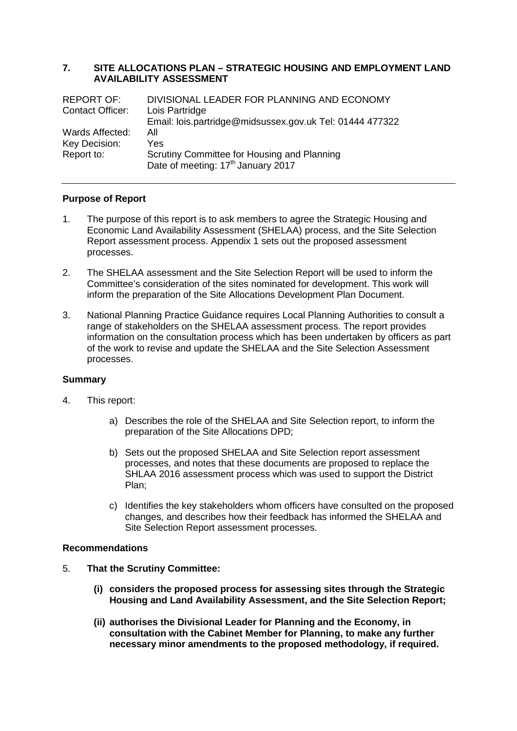#### **7. SITE ALLOCATIONS PLAN – STRATEGIC HOUSING AND EMPLOYMENT LAND AVAILABILITY ASSESSMENT**

| <b>REPORT OF:</b> | DIVISIONAL LEADER FOR PLANNING AND ECONOMY               |
|-------------------|----------------------------------------------------------|
| Contact Officer:  | Lois Partridge                                           |
|                   | Email: lois.partridge@midsussex.gov.uk Tel: 01444 477322 |
| Wards Affected:   | All                                                      |
| Key Decision:     | Yes                                                      |
| Report to:        | Scrutiny Committee for Housing and Planning              |
|                   | Date of meeting: 17 <sup>th</sup> January 2017           |

## **Purpose of Report**

- 1. The purpose of this report is to ask members to agree the Strategic Housing and Economic Land Availability Assessment (SHELAA) process, and the Site Selection Report assessment process. Appendix 1 sets out the proposed assessment processes.
- 2. The SHELAA assessment and the Site Selection Report will be used to inform the Committee's consideration of the sites nominated for development. This work will inform the preparation of the Site Allocations Development Plan Document.
- 3. National Planning Practice Guidance requires Local Planning Authorities to consult a range of stakeholders on the SHELAA assessment process. The report provides information on the consultation process which has been undertaken by officers as part of the work to revise and update the SHELAA and the Site Selection Assessment processes.

#### **Summary**

- 4. This report:
	- a) Describes the role of the SHELAA and Site Selection report, to inform the preparation of the Site Allocations DPD;
	- b) Sets out the proposed SHELAA and Site Selection report assessment processes, and notes that these documents are proposed to replace the SHLAA 2016 assessment process which was used to support the District Plan;
	- c) Identifies the key stakeholders whom officers have consulted on the proposed changes, and describes how their feedback has informed the SHELAA and Site Selection Report assessment processes.

#### **Recommendations**

- 5. **That the Scrutiny Committee:**
	- **(i) considers the proposed process for assessing sites through the Strategic Housing and Land Availability Assessment, and the Site Selection Report;**
	- **(ii) authorises the Divisional Leader for Planning and the Economy, in consultation with the Cabinet Member for Planning, to make any further necessary minor amendments to the proposed methodology, if required.**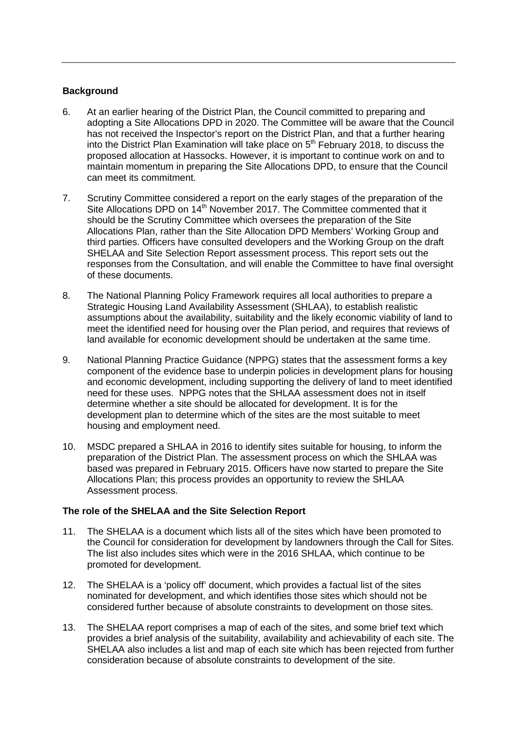### **Background**

- 6. At an earlier hearing of the District Plan, the Council committed to preparing and adopting a Site Allocations DPD in 2020. The Committee will be aware that the Council has not received the Inspector's report on the District Plan, and that a further hearing into the District Plan Examination will take place on  $5<sup>th</sup>$  February 2018, to discuss the proposed allocation at Hassocks. However, it is important to continue work on and to maintain momentum in preparing the Site Allocations DPD, to ensure that the Council can meet its commitment.
- 7. Scrutiny Committee considered a report on the early stages of the preparation of the Site Allocations DPD on 14<sup>th</sup> November 2017. The Committee commented that it should be the Scrutiny Committee which oversees the preparation of the Site Allocations Plan, rather than the Site Allocation DPD Members' Working Group and third parties. Officers have consulted developers and the Working Group on the draft SHELAA and Site Selection Report assessment process. This report sets out the responses from the Consultation, and will enable the Committee to have final oversight of these documents.
- 8. The National Planning Policy Framework requires all local authorities to prepare a Strategic Housing Land Availability Assessment (SHLAA), to establish realistic assumptions about the availability, suitability and the likely economic viability of land to meet the identified need for housing over the Plan period, and requires that reviews of land available for economic development should be undertaken at the same time.
- 9. National Planning Practice Guidance (NPPG) states that the assessment forms a key component of the evidence base to underpin policies in development plans for housing and economic development, including supporting the delivery of land to meet identified need for these uses. NPPG notes that the SHLAA assessment does not in itself determine whether a site should be allocated for development. It is for the development plan to determine which of the sites are the most suitable to meet housing and employment need.
- 10. MSDC prepared a SHLAA in 2016 to identify sites suitable for housing, to inform the preparation of the District Plan. The assessment process on which the SHLAA was based was prepared in February 2015. Officers have now started to prepare the Site Allocations Plan; this process provides an opportunity to review the SHLAA Assessment process.

#### **The role of the SHELAA and the Site Selection Report**

- 11. The SHELAA is a document which lists all of the sites which have been promoted to the Council for consideration for development by landowners through the Call for Sites. The list also includes sites which were in the 2016 SHLAA, which continue to be promoted for development.
- 12. The SHELAA is a 'policy off' document, which provides a factual list of the sites nominated for development, and which identifies those sites which should not be considered further because of absolute constraints to development on those sites.
- 13. The SHELAA report comprises a map of each of the sites, and some brief text which provides a brief analysis of the suitability, availability and achievability of each site. The SHELAA also includes a list and map of each site which has been rejected from further consideration because of absolute constraints to development of the site.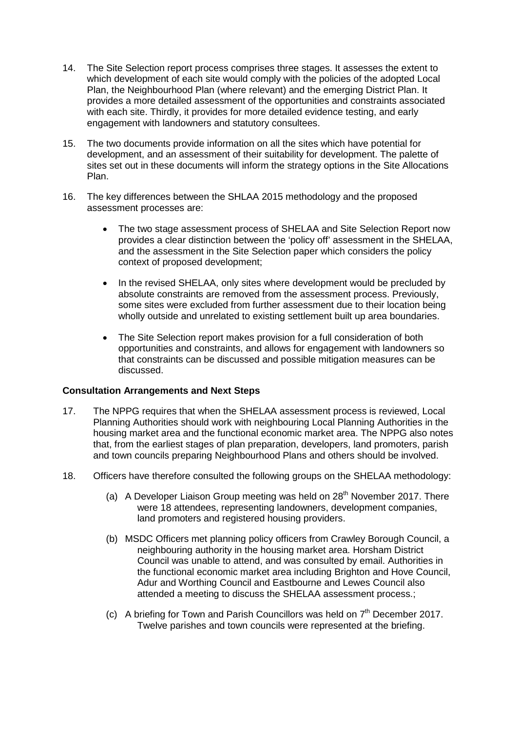- 14. The Site Selection report process comprises three stages. It assesses the extent to which development of each site would comply with the policies of the adopted Local Plan, the Neighbourhood Plan (where relevant) and the emerging District Plan. It provides a more detailed assessment of the opportunities and constraints associated with each site. Thirdly, it provides for more detailed evidence testing, and early engagement with landowners and statutory consultees.
- 15. The two documents provide information on all the sites which have potential for development, and an assessment of their suitability for development. The palette of sites set out in these documents will inform the strategy options in the Site Allocations Plan.
- 16. The key differences between the SHLAA 2015 methodology and the proposed assessment processes are:
	- The two stage assessment process of SHELAA and Site Selection Report now provides a clear distinction between the 'policy off' assessment in the SHELAA, and the assessment in the Site Selection paper which considers the policy context of proposed development;
	- In the revised SHELAA, only sites where development would be precluded by absolute constraints are removed from the assessment process. Previously, some sites were excluded from further assessment due to their location being wholly outside and unrelated to existing settlement built up area boundaries.
	- The Site Selection report makes provision for a full consideration of both opportunities and constraints, and allows for engagement with landowners so that constraints can be discussed and possible mitigation measures can be discussed.

#### **Consultation Arrangements and Next Steps**

- 17. The NPPG requires that when the SHELAA assessment process is reviewed, Local Planning Authorities should work with neighbouring Local Planning Authorities in the housing market area and the functional economic market area. The NPPG also notes that, from the earliest stages of plan preparation, developers, land promoters, parish and town councils preparing Neighbourhood Plans and others should be involved.
- 18. Officers have therefore consulted the following groups on the SHELAA methodology:
	- (a) A Developer Liaison Group meeting was held on  $28<sup>th</sup>$  November 2017. There were 18 attendees, representing landowners, development companies, land promoters and registered housing providers.
	- (b) MSDC Officers met planning policy officers from Crawley Borough Council, a neighbouring authority in the housing market area. Horsham District Council was unable to attend, and was consulted by email. Authorities in the functional economic market area including Brighton and Hove Council, Adur and Worthing Council and Eastbourne and Lewes Council also attended a meeting to discuss the SHELAA assessment process.;
	- (c) A briefing for Town and Parish Councillors was held on  $7<sup>th</sup>$  December 2017. Twelve parishes and town councils were represented at the briefing.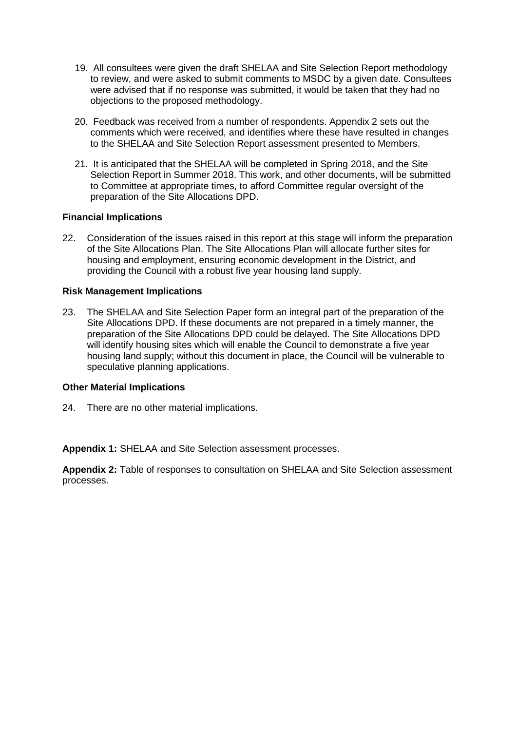- 19. All consultees were given the draft SHELAA and Site Selection Report methodology to review, and were asked to submit comments to MSDC by a given date. Consultees were advised that if no response was submitted, it would be taken that they had no objections to the proposed methodology.
- 20. Feedback was received from a number of respondents. Appendix 2 sets out the comments which were received, and identifies where these have resulted in changes to the SHELAA and Site Selection Report assessment presented to Members.
- 21. It is anticipated that the SHELAA will be completed in Spring 2018, and the Site Selection Report in Summer 2018. This work, and other documents, will be submitted to Committee at appropriate times, to afford Committee regular oversight of the preparation of the Site Allocations DPD.

#### **Financial Implications**

22. Consideration of the issues raised in this report at this stage will inform the preparation of the Site Allocations Plan. The Site Allocations Plan will allocate further sites for housing and employment, ensuring economic development in the District, and providing the Council with a robust five year housing land supply.

#### **Risk Management Implications**

23. The SHELAA and Site Selection Paper form an integral part of the preparation of the Site Allocations DPD. If these documents are not prepared in a timely manner, the preparation of the Site Allocations DPD could be delayed. The Site Allocations DPD will identify housing sites which will enable the Council to demonstrate a five year housing land supply; without this document in place, the Council will be vulnerable to speculative planning applications.

#### **Other Material Implications**

24. There are no other material implications.

**Appendix 1:** SHELAA and Site Selection assessment processes.

**Appendix 2:** Table of responses to consultation on SHELAA and Site Selection assessment processes.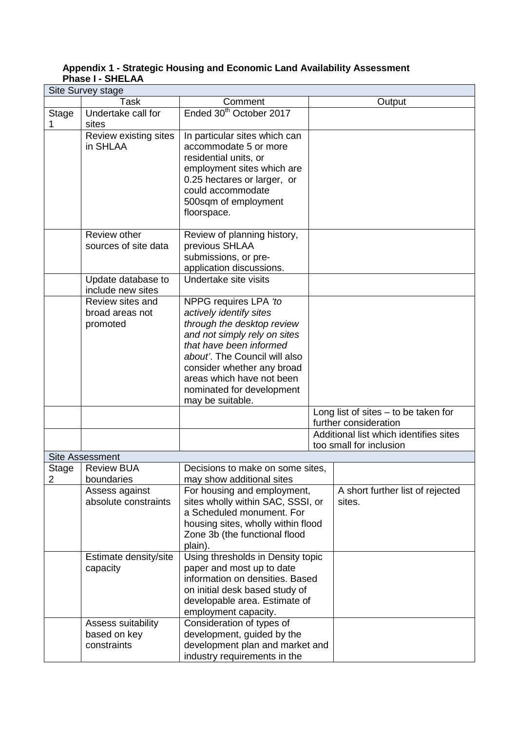| Site Survey stage |                                                   |                                                                                                                                                                                                                                                                                        |  |                                                                   |  |  |
|-------------------|---------------------------------------------------|----------------------------------------------------------------------------------------------------------------------------------------------------------------------------------------------------------------------------------------------------------------------------------------|--|-------------------------------------------------------------------|--|--|
|                   | Task                                              | Comment                                                                                                                                                                                                                                                                                |  | Output                                                            |  |  |
| <b>Stage</b>      | Undertake call for<br>sites                       | Ended 30 <sup>th</sup> October 2017                                                                                                                                                                                                                                                    |  |                                                                   |  |  |
|                   | Review existing sites<br>in SHLAA                 | In particular sites which can<br>accommodate 5 or more<br>residential units, or<br>employment sites which are<br>0.25 hectares or larger, or<br>could accommodate<br>500sqm of employment<br>floorspace.                                                                               |  |                                                                   |  |  |
|                   | Review other<br>sources of site data              | Review of planning history,<br>previous SHLAA<br>submissions, or pre-<br>application discussions.                                                                                                                                                                                      |  |                                                                   |  |  |
|                   | Update database to<br>include new sites           | Undertake site visits                                                                                                                                                                                                                                                                  |  |                                                                   |  |  |
|                   | Review sites and<br>broad areas not<br>promoted   | NPPG requires LPA 'to<br>actively identify sites<br>through the desktop review<br>and not simply rely on sites<br>that have been informed<br>about'. The Council will also<br>consider whether any broad<br>areas which have not been<br>nominated for development<br>may be suitable. |  |                                                                   |  |  |
|                   |                                                   |                                                                                                                                                                                                                                                                                        |  | Long list of sites $-$ to be taken for<br>further consideration   |  |  |
|                   |                                                   |                                                                                                                                                                                                                                                                                        |  | Additional list which identifies sites<br>too small for inclusion |  |  |
|                   | <b>Site Assessment</b>                            |                                                                                                                                                                                                                                                                                        |  |                                                                   |  |  |
| Stage             | <b>Review BUA</b>                                 | Decisions to make on some sites,                                                                                                                                                                                                                                                       |  |                                                                   |  |  |
| 2                 | boundaries                                        | may show additional sites                                                                                                                                                                                                                                                              |  |                                                                   |  |  |
|                   | Assess against<br>absolute constraints            | For housing and employment,<br>sites wholly within SAC, SSSI, or<br>a Scheduled monument. For<br>housing sites, wholly within flood<br>Zone 3b (the functional flood<br>plain).                                                                                                        |  | A short further list of rejected<br>sites.                        |  |  |
|                   | Estimate density/site<br>capacity                 | Using thresholds in Density topic<br>paper and most up to date<br>information on densities. Based<br>on initial desk based study of<br>developable area. Estimate of<br>employment capacity.                                                                                           |  |                                                                   |  |  |
|                   | Assess suitability<br>based on key<br>constraints | Consideration of types of<br>development, guided by the<br>development plan and market and<br>industry requirements in the                                                                                                                                                             |  |                                                                   |  |  |

## **Appendix 1 - Strategic Housing and Economic Land Availability Assessment Phase I - SHELAA**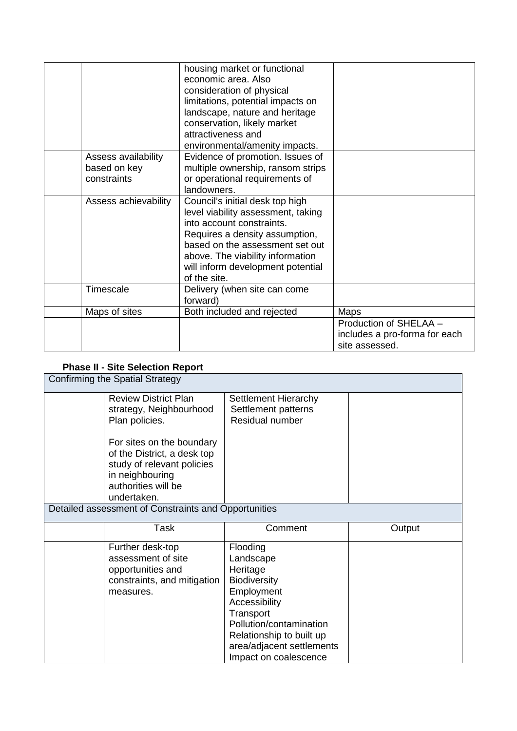|                                                    | housing market or functional<br>economic area. Also<br>consideration of physical<br>limitations, potential impacts on<br>landscape, nature and heritage<br>conservation, likely market<br>attractiveness and<br>environmental/amenity impacts.                   |                                                                           |
|----------------------------------------------------|------------------------------------------------------------------------------------------------------------------------------------------------------------------------------------------------------------------------------------------------------------------|---------------------------------------------------------------------------|
| Assess availability<br>based on key<br>constraints | Evidence of promotion. Issues of<br>multiple ownership, ransom strips<br>or operational requirements of<br>landowners.                                                                                                                                           |                                                                           |
| Assess achievability                               | Council's initial desk top high<br>level viability assessment, taking<br>into account constraints.<br>Requires a density assumption,<br>based on the assessment set out<br>above. The viability information<br>will inform development potential<br>of the site. |                                                                           |
| Timescale                                          | Delivery (when site can come<br>forward)                                                                                                                                                                                                                         |                                                                           |
| Maps of sites                                      | Both included and rejected                                                                                                                                                                                                                                       | Maps                                                                      |
|                                                    |                                                                                                                                                                                                                                                                  | Production of SHELAA -<br>includes a pro-forma for each<br>site assessed. |

# **Phase II - Site Selection Report**

| Confirming the Spatial Strategy |                                                                                                                                                 |                                                                                                                                                                                                                   |        |  |
|---------------------------------|-------------------------------------------------------------------------------------------------------------------------------------------------|-------------------------------------------------------------------------------------------------------------------------------------------------------------------------------------------------------------------|--------|--|
|                                 | <b>Review District Plan</b><br>strategy, Neighbourhood<br>Plan policies.                                                                        | <b>Settlement Hierarchy</b><br>Settlement patterns<br>Residual number                                                                                                                                             |        |  |
|                                 | For sites on the boundary<br>of the District, a desk top<br>study of relevant policies<br>in neighbouring<br>authorities will be<br>undertaken. |                                                                                                                                                                                                                   |        |  |
|                                 | Detailed assessment of Constraints and Opportunities                                                                                            |                                                                                                                                                                                                                   |        |  |
|                                 | Task                                                                                                                                            | Comment                                                                                                                                                                                                           | Output |  |
|                                 | Further desk-top<br>assessment of site<br>opportunities and<br>constraints, and mitigation<br>measures.                                         | Flooding<br>Landscape<br>Heritage<br><b>Biodiversity</b><br>Employment<br>Accessibility<br>Transport<br>Pollution/contamination<br>Relationship to built up<br>area/adjacent settlements<br>Impact on coalescence |        |  |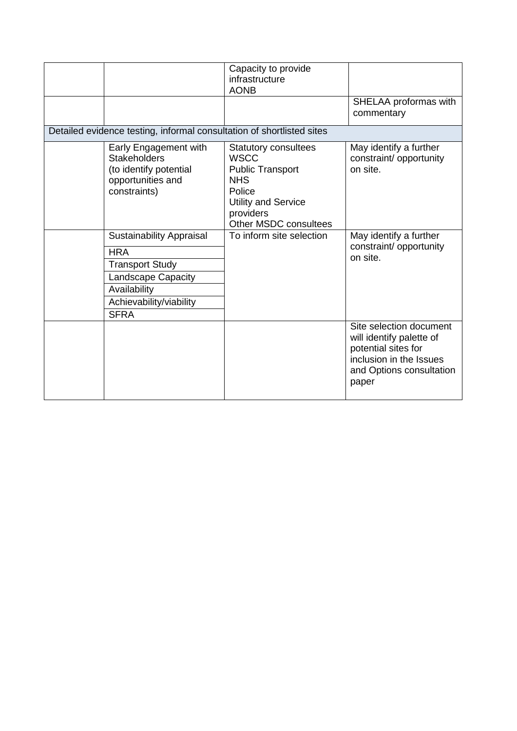|                                                                                                                                                                | Capacity to provide<br>infrastructure<br><b>AONB</b>                                                                                                                     |                                                                                                                                            |
|----------------------------------------------------------------------------------------------------------------------------------------------------------------|--------------------------------------------------------------------------------------------------------------------------------------------------------------------------|--------------------------------------------------------------------------------------------------------------------------------------------|
|                                                                                                                                                                |                                                                                                                                                                          | SHELAA proformas with<br>commentary                                                                                                        |
| Detailed evidence testing, informal consultation of shortlisted sites                                                                                          |                                                                                                                                                                          |                                                                                                                                            |
| Early Engagement with<br><b>Stakeholders</b><br>(to identify potential<br>opportunities and<br>constraints)                                                    | <b>Statutory consultees</b><br><b>WSCC</b><br><b>Public Transport</b><br><b>NHS</b><br>Police<br><b>Utility and Service</b><br>providers<br><b>Other MSDC consultees</b> | May identify a further<br>constraint/ opportunity<br>on site.                                                                              |
| <b>Sustainability Appraisal</b><br><b>HRA</b><br><b>Transport Study</b><br><b>Landscape Capacity</b><br>Availability<br>Achievability/viability<br><b>SFRA</b> | To inform site selection                                                                                                                                                 | May identify a further<br>constraint/ opportunity<br>on site.                                                                              |
|                                                                                                                                                                |                                                                                                                                                                          | Site selection document<br>will identify palette of<br>potential sites for<br>inclusion in the Issues<br>and Options consultation<br>paper |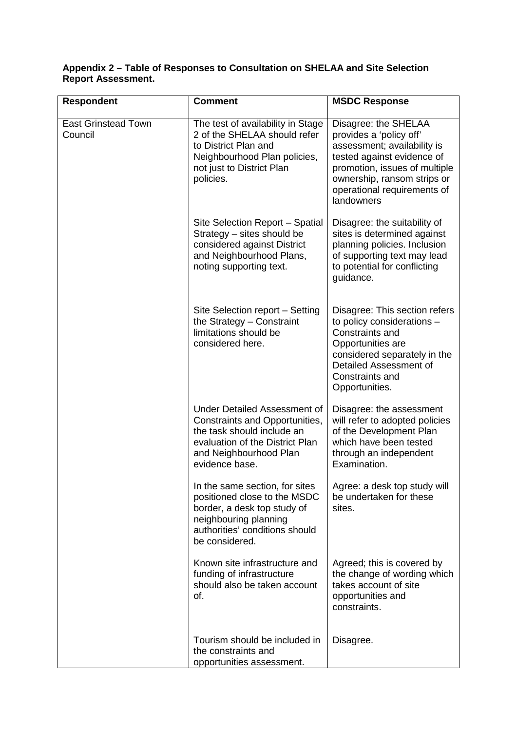## **Appendix 2 – Table of Responses to Consultation on SHELAA and Site Selection Report Assessment.**

| <b>Respondent</b>                     | <b>Comment</b>                                                                                                                                                              | <b>MSDC Response</b>                                                                                                                                                                                                      |
|---------------------------------------|-----------------------------------------------------------------------------------------------------------------------------------------------------------------------------|---------------------------------------------------------------------------------------------------------------------------------------------------------------------------------------------------------------------------|
| <b>East Grinstead Town</b><br>Council | The test of availability in Stage<br>2 of the SHELAA should refer<br>to District Plan and<br>Neighbourhood Plan policies,<br>not just to District Plan<br>policies.         | Disagree: the SHELAA<br>provides a 'policy off'<br>assessment; availability is<br>tested against evidence of<br>promotion, issues of multiple<br>ownership, ransom strips or<br>operational requirements of<br>landowners |
|                                       | Site Selection Report – Spatial<br>Strategy - sites should be<br>considered against District<br>and Neighbourhood Plans,<br>noting supporting text.                         | Disagree: the suitability of<br>sites is determined against<br>planning policies. Inclusion<br>of supporting text may lead<br>to potential for conflicting<br>guidance.                                                   |
|                                       | Site Selection report - Setting<br>the Strategy - Constraint<br>limitations should be<br>considered here.                                                                   | Disagree: This section refers<br>to policy considerations -<br>Constraints and<br>Opportunities are<br>considered separately in the<br>Detailed Assessment of<br>Constraints and<br>Opportunities.                        |
|                                       | Under Detailed Assessment of<br>Constraints and Opportunities,<br>the task should include an<br>evaluation of the District Plan<br>and Neighbourhood Plan<br>evidence base. | Disagree: the assessment<br>will refer to adopted policies<br>of the Development Plan<br>which have been tested<br>through an independent<br>Examination.                                                                 |
|                                       | In the same section, for sites<br>positioned close to the MSDC<br>border, a desk top study of<br>neighbouring planning<br>authorities' conditions should<br>be considered.  | Agree: a desk top study will<br>be undertaken for these<br>sites.                                                                                                                                                         |
|                                       | Known site infrastructure and<br>funding of infrastructure<br>should also be taken account<br>of.                                                                           | Agreed; this is covered by<br>the change of wording which<br>takes account of site<br>opportunities and<br>constraints.                                                                                                   |
|                                       | Tourism should be included in<br>the constraints and<br>opportunities assessment.                                                                                           | Disagree.                                                                                                                                                                                                                 |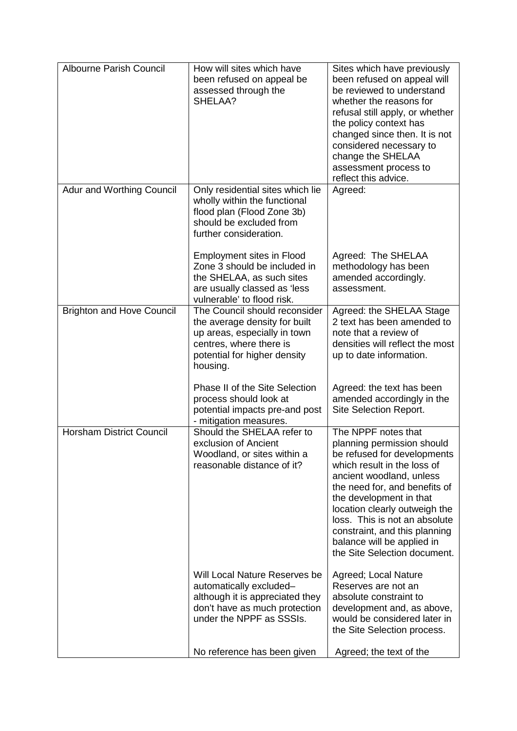| Albourne Parish Council          | How will sites which have<br>been refused on appeal be<br>assessed through the<br>SHELAA?                                                                             | Sites which have previously<br>been refused on appeal will<br>be reviewed to understand<br>whether the reasons for<br>refusal still apply, or whether<br>the policy context has<br>changed since then. It is not<br>considered necessary to<br>change the SHELAA<br>assessment process to<br>reflect this advice.                                                        |
|----------------------------------|-----------------------------------------------------------------------------------------------------------------------------------------------------------------------|--------------------------------------------------------------------------------------------------------------------------------------------------------------------------------------------------------------------------------------------------------------------------------------------------------------------------------------------------------------------------|
| <b>Adur and Worthing Council</b> | Only residential sites which lie<br>wholly within the functional<br>flood plan (Flood Zone 3b)<br>should be excluded from<br>further consideration.                   | Agreed:                                                                                                                                                                                                                                                                                                                                                                  |
|                                  | Employment sites in Flood<br>Zone 3 should be included in<br>the SHELAA, as such sites<br>are usually classed as 'less<br>vulnerable' to flood risk.                  | Agreed: The SHELAA<br>methodology has been<br>amended accordingly.<br>assessment.                                                                                                                                                                                                                                                                                        |
| <b>Brighton and Hove Council</b> | The Council should reconsider<br>the average density for built<br>up areas, especially in town<br>centres, where there is<br>potential for higher density<br>housing. | Agreed: the SHELAA Stage<br>2 text has been amended to<br>note that a review of<br>densities will reflect the most<br>up to date information.                                                                                                                                                                                                                            |
|                                  | Phase II of the Site Selection<br>process should look at<br>potential impacts pre-and post<br>- mitigation measures.                                                  | Agreed: the text has been<br>amended accordingly in the<br>Site Selection Report.                                                                                                                                                                                                                                                                                        |
| <b>Horsham District Council</b>  | Should the SHELAA refer to<br>exclusion of Ancient<br>Woodland, or sites within a<br>reasonable distance of it?                                                       | The NPPF notes that<br>planning permission should<br>be refused for developments<br>which result in the loss of<br>ancient woodland, unless<br>the need for, and benefits of<br>the development in that<br>location clearly outweigh the<br>loss. This is not an absolute<br>constraint, and this planning<br>balance will be applied in<br>the Site Selection document. |
|                                  | Will Local Nature Reserves be<br>automatically excluded-<br>although it is appreciated they<br>don't have as much protection<br>under the NPPF as SSSIs.              | Agreed; Local Nature<br>Reserves are not an<br>absolute constraint to<br>development and, as above,<br>would be considered later in<br>the Site Selection process.                                                                                                                                                                                                       |
|                                  | No reference has been given                                                                                                                                           | Agreed; the text of the                                                                                                                                                                                                                                                                                                                                                  |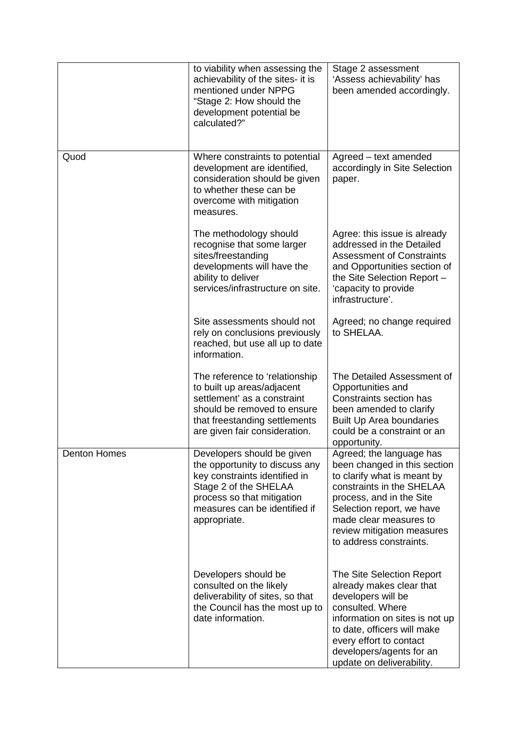|                     | to viability when assessing the<br>achievability of the sites- it is<br>mentioned under NPPG<br>"Stage 2: How should the<br>development potential be<br>calculated?"                                  | Stage 2 assessment<br>'Assess achievability' has<br>been amended accordingly.                                                                                                                                                                                    |
|---------------------|-------------------------------------------------------------------------------------------------------------------------------------------------------------------------------------------------------|------------------------------------------------------------------------------------------------------------------------------------------------------------------------------------------------------------------------------------------------------------------|
| Quod                | Where constraints to potential<br>development are identified,<br>consideration should be given<br>to whether these can be<br>overcome with mitigation<br>measures.                                    | Agreed - text amended<br>accordingly in Site Selection<br>paper.                                                                                                                                                                                                 |
|                     | The methodology should<br>recognise that some larger<br>sites/freestanding<br>developments will have the<br>ability to deliver<br>services/infrastructure on site.                                    | Agree: this issue is already<br>addressed in the Detailed<br><b>Assessment of Constraints</b><br>and Opportunities section of<br>the Site Selection Report -<br>'capacity to provide<br>infrastructure'.                                                         |
|                     | Site assessments should not<br>rely on conclusions previously<br>reached, but use all up to date<br>information.                                                                                      | Agreed; no change required<br>to SHELAA.                                                                                                                                                                                                                         |
|                     | The reference to 'relationship<br>to built up areas/adjacent<br>settlement' as a constraint<br>should be removed to ensure<br>that freestanding settlements<br>are given fair consideration.          | The Detailed Assessment of<br>Opportunities and<br>Constraints section has<br>been amended to clarify<br><b>Built Up Area boundaries</b><br>could be a constraint or an<br>opportunity.                                                                          |
| <b>Denton Homes</b> | Developers should be given<br>the opportunity to discuss any<br>key constraints identified in<br>Stage 2 of the SHELAA<br>process so that mitigation<br>measures can be identified if<br>appropriate. | Agreed; the language has<br>been changed in this section<br>to clarify what is meant by<br>constraints in the SHELAA<br>process, and in the Site<br>Selection report, we have<br>made clear measures to<br>review mitigation measures<br>to address constraints. |
|                     | Developers should be<br>consulted on the likely<br>deliverability of sites, so that<br>the Council has the most up to<br>date information.                                                            | The Site Selection Report<br>already makes clear that<br>developers will be<br>consulted. Where<br>information on sites is not up<br>to date, officers will make<br>every effort to contact<br>developers/agents for an<br>update on deliverability.             |